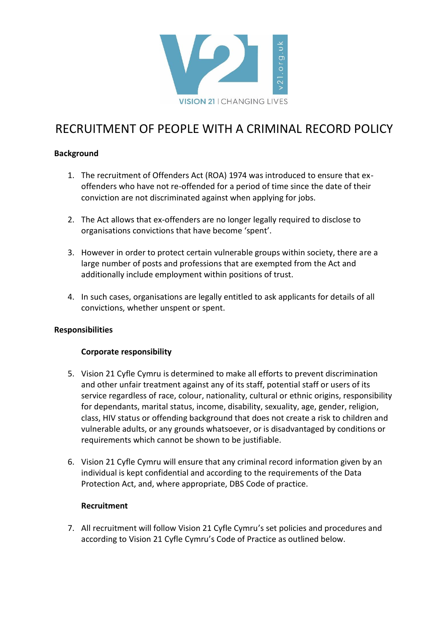

# RECRUITMENT OF PEOPLE WITH A CRIMINAL RECORD POLICY

## **Background**

- 1. The recruitment of Offenders Act (ROA) 1974 was introduced to ensure that exoffenders who have not re-offended for a period of time since the date of their conviction are not discriminated against when applying for jobs.
- 2. The Act allows that ex-offenders are no longer legally required to disclose to organisations convictions that have become 'spent'.
- 3. However in order to protect certain vulnerable groups within society, there are a large number of posts and professions that are exempted from the Act and additionally include employment within positions of trust.
- 4. In such cases, organisations are legally entitled to ask applicants for details of all convictions, whether unspent or spent.

## **Responsibilities**

## **Corporate responsibility**

- 5. Vision 21 Cyfle Cymru is determined to make all efforts to prevent discrimination and other unfair treatment against any of its staff, potential staff or users of its service regardless of race, colour, nationality, cultural or ethnic origins, responsibility for dependants, marital status, income, disability, sexuality, age, gender, religion, class, HIV status or offending background that does not create a risk to children and vulnerable adults, or any grounds whatsoever, or is disadvantaged by conditions or requirements which cannot be shown to be justifiable.
- 6. Vision 21 Cyfle Cymru will ensure that any criminal record information given by an individual is kept confidential and according to the requirements of the Data Protection Act, and, where appropriate, DBS Code of practice.

#### **Recruitment**

7. All recruitment will follow Vision 21 Cyfle Cymru's set policies and procedures and according to Vision 21 Cyfle Cymru's Code of Practice as outlined below.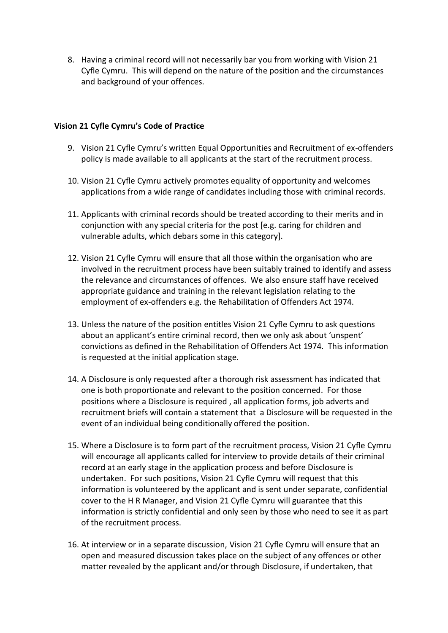8. Having a criminal record will not necessarily bar you from working with Vision 21 Cyfle Cymru. This will depend on the nature of the position and the circumstances and background of your offences.

#### **Vision 21 Cyfle Cymru's Code of Practice**

- 9. Vision 21 Cyfle Cymru's written Equal Opportunities and Recruitment of ex-offenders policy is made available to all applicants at the start of the recruitment process.
- 10. Vision 21 Cyfle Cymru actively promotes equality of opportunity and welcomes applications from a wide range of candidates including those with criminal records.
- 11. Applicants with criminal records should be treated according to their merits and in conjunction with any special criteria for the post [e.g. caring for children and vulnerable adults, which debars some in this category].
- 12. Vision 21 Cyfle Cymru will ensure that all those within the organisation who are involved in the recruitment process have been suitably trained to identify and assess the relevance and circumstances of offences. We also ensure staff have received appropriate guidance and training in the relevant legislation relating to the employment of ex-offenders e.g. the Rehabilitation of Offenders Act 1974.
- 13. Unless the nature of the position entitles Vision 21 Cyfle Cymru to ask questions about an applicant's entire criminal record, then we only ask about 'unspent' convictions as defined in the Rehabilitation of Offenders Act 1974. This information is requested at the initial application stage.
- 14. A Disclosure is only requested after a thorough risk assessment has indicated that one is both proportionate and relevant to the position concerned. For those positions where a Disclosure is required , all application forms, job adverts and recruitment briefs will contain a statement that a Disclosure will be requested in the event of an individual being conditionally offered the position.
- 15. Where a Disclosure is to form part of the recruitment process, Vision 21 Cyfle Cymru will encourage all applicants called for interview to provide details of their criminal record at an early stage in the application process and before Disclosure is undertaken. For such positions, Vision 21 Cyfle Cymru will request that this information is volunteered by the applicant and is sent under separate, confidential cover to the H R Manager, and Vision 21 Cyfle Cymru will guarantee that this information is strictly confidential and only seen by those who need to see it as part of the recruitment process.
- 16. At interview or in a separate discussion, Vision 21 Cyfle Cymru will ensure that an open and measured discussion takes place on the subject of any offences or other matter revealed by the applicant and/or through Disclosure, if undertaken, that